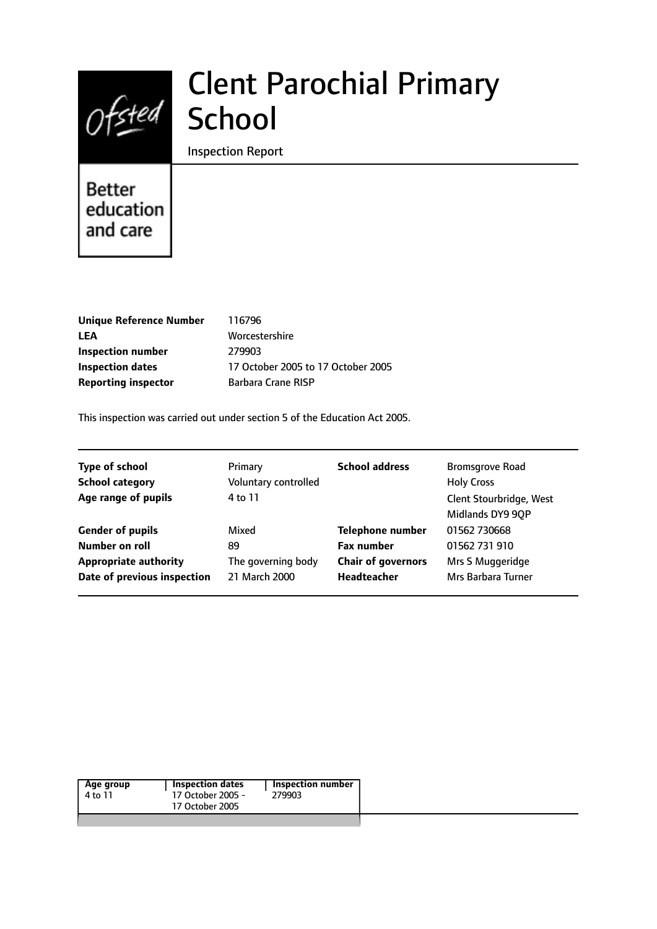# Clent Parochial Primary Ofsted School

Inspection Report

# Better education and care

| <b>Unique Reference Number</b> | 116796                             |
|--------------------------------|------------------------------------|
| LEA                            | Worcestershire                     |
| <b>Inspection number</b>       | 279903                             |
| <b>Inspection dates</b>        | 17 October 2005 to 17 October 2005 |
| <b>Reporting inspector</b>     | Barbara Crane RISP                 |
|                                |                                    |

This inspection was carried out under section 5 of the Education Act 2005.

|                      | <b>School address</b>     | <b>Bromsgrove Road</b>                      |
|----------------------|---------------------------|---------------------------------------------|
| Voluntary controlled |                           | <b>Holy Cross</b>                           |
| 4 to 11              |                           | Clent Stourbridge, West<br>Midlands DY9 9QP |
| Mixed                | <b>Telephone number</b>   | 01562 730668                                |
| 89                   | <b>Fax number</b>         | 01562 731 910                               |
| The governing body   | <b>Chair of governors</b> | Mrs S Muggeridge                            |
| 21 March 2000        | <b>Headteacher</b>        | Mrs Barbara Turner                          |
|                      | Primary                   |                                             |

|  | Age group<br>4 to 11 | Inspection dates<br>17 October 2005 -<br>17 October 2005 | 279903 |
|--|----------------------|----------------------------------------------------------|--------|
|--|----------------------|----------------------------------------------------------|--------|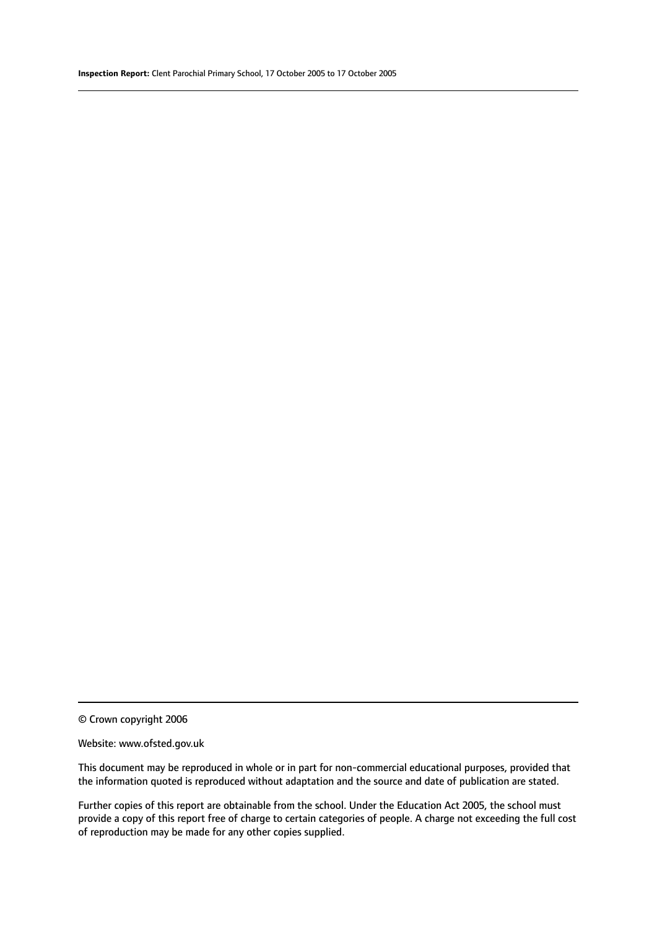© Crown copyright 2006

#### Website: www.ofsted.gov.uk

This document may be reproduced in whole or in part for non-commercial educational purposes, provided that the information quoted is reproduced without adaptation and the source and date of publication are stated.

Further copies of this report are obtainable from the school. Under the Education Act 2005, the school must provide a copy of this report free of charge to certain categories of people. A charge not exceeding the full cost of reproduction may be made for any other copies supplied.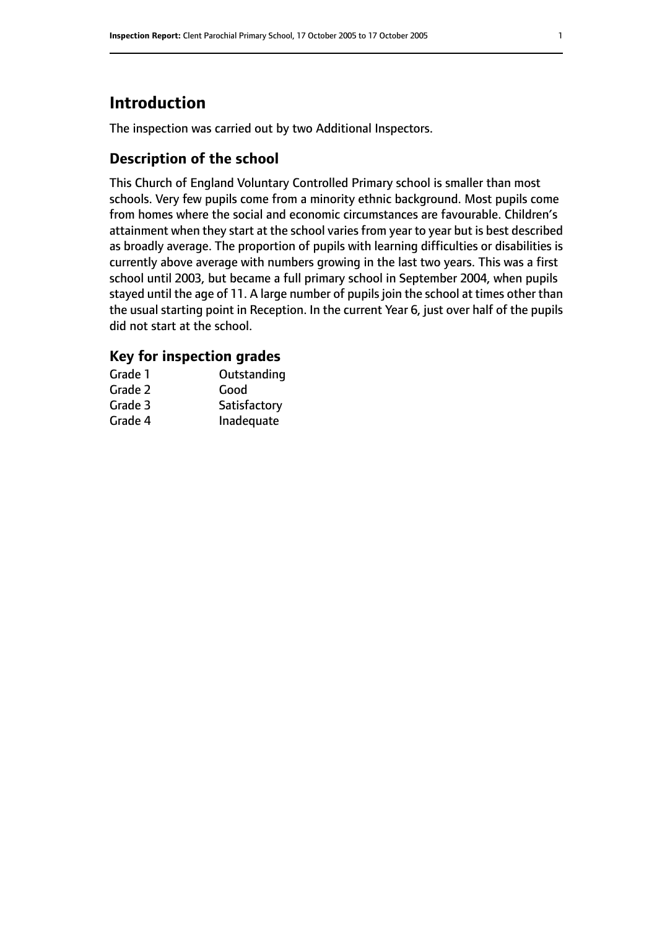# **Introduction**

The inspection was carried out by two Additional Inspectors.

# **Description of the school**

This Church of England Voluntary Controlled Primary school is smaller than most schools. Very few pupils come from a minority ethnic background. Most pupils come from homes where the social and economic circumstances are favourable. Children's attainment when they start at the school varies from year to year but is best described as broadly average. The proportion of pupils with learning difficulties or disabilities is currently above average with numbers growing in the last two years. This was a first school until 2003, but became a full primary school in September 2004, when pupils stayed until the age of 11. A large number of pupils join the school at times other than the usual starting point in Reception. In the current Year 6, just over half of the pupils did not start at the school.

# **Key for inspection grades**

| Grade 1 | Outstanding  |
|---------|--------------|
| Grade 2 | Good         |
| Grade 3 | Satisfactory |
| Grade 4 | Inadequate   |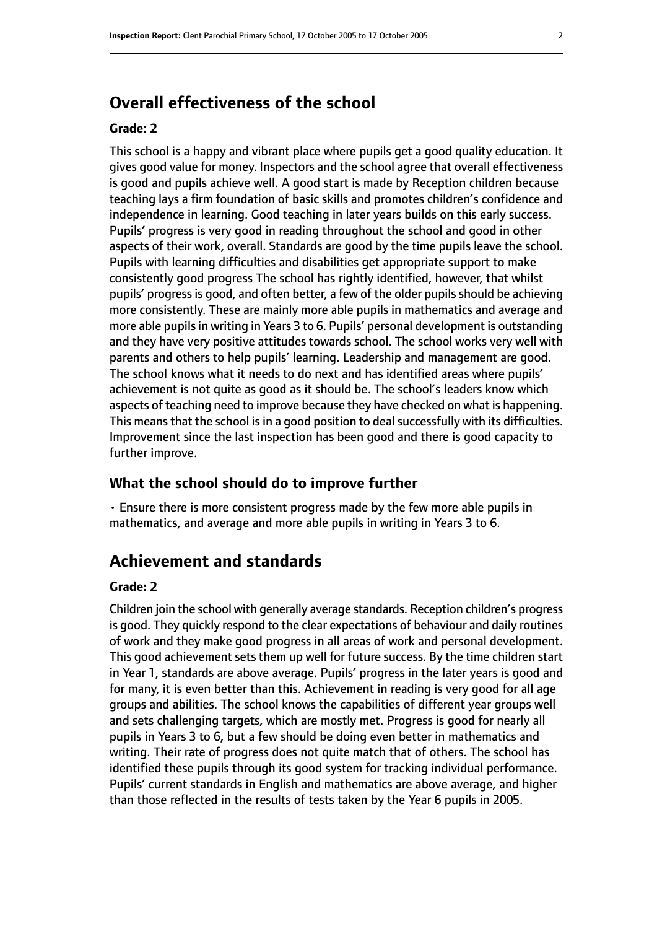# **Overall effectiveness of the school**

#### **Grade: 2**

This school is a happy and vibrant place where pupils get a good quality education. It gives good value for money. Inspectors and the school agree that overall effectiveness is good and pupils achieve well. A good start is made by Reception children because teaching lays a firm foundation of basic skills and promotes children's confidence and independence in learning. Good teaching in later years builds on this early success. Pupils' progress is very good in reading throughout the school and good in other aspects of their work, overall. Standards are good by the time pupils leave the school. Pupils with learning difficulties and disabilities get appropriate support to make consistently good progress The school has rightly identified, however, that whilst pupils' progress is good, and often better, a few of the older pupils should be achieving more consistently. These are mainly more able pupils in mathematics and average and more able pupils in writing in Years 3 to 6. Pupils' personal development is outstanding and they have very positive attitudes towards school. The school works very well with parents and others to help pupils' learning. Leadership and management are good. The school knows what it needs to do next and has identified areas where pupils' achievement is not quite as good as it should be. The school's leaders know which aspects of teaching need to improve because they have checked on what is happening. This means that the school is in a good position to deal successfully with its difficulties. Improvement since the last inspection has been good and there is good capacity to further improve.

#### **What the school should do to improve further**

• Ensure there is more consistent progress made by the few more able pupils in mathematics, and average and more able pupils in writing in Years 3 to 6.

# **Achievement and standards**

#### **Grade: 2**

Children join the school with generally average standards. Reception children's progress is good. They quickly respond to the clear expectations of behaviour and daily routines of work and they make good progress in all areas of work and personal development. This good achievement sets them up well for future success. By the time children start in Year 1, standards are above average. Pupils' progress in the later years is good and for many, it is even better than this. Achievement in reading is very good for all age groups and abilities. The school knows the capabilities of different year groups well and sets challenging targets, which are mostly met. Progress is good for nearly all pupils in Years 3 to 6, but a few should be doing even better in mathematics and writing. Their rate of progress does not quite match that of others. The school has identified these pupils through its good system for tracking individual performance. Pupils' current standards in English and mathematics are above average, and higher than those reflected in the results of tests taken by the Year 6 pupils in 2005.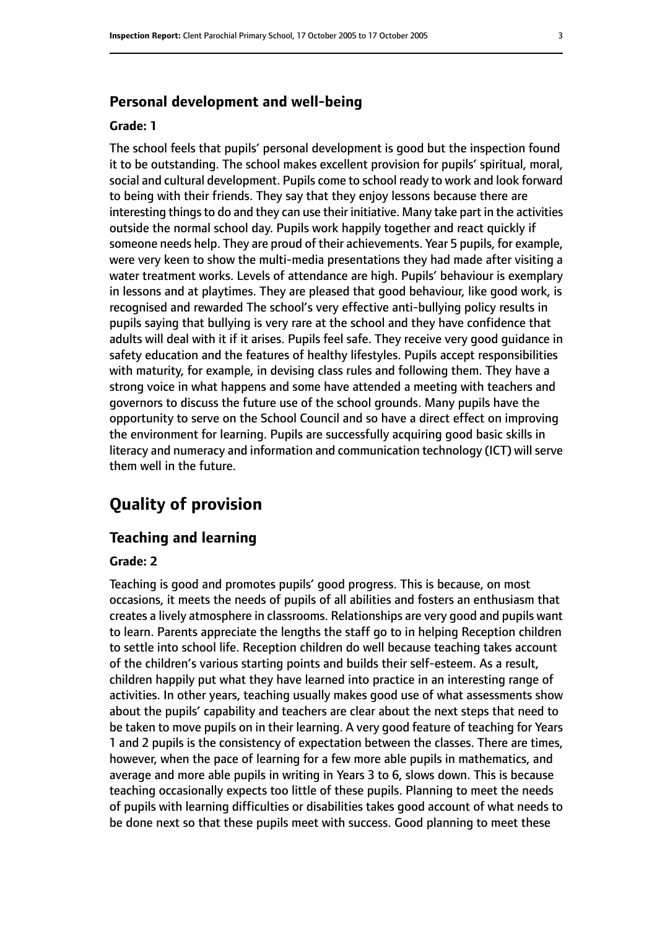#### **Personal development and well-being**

#### **Grade: 1**

The school feels that pupils' personal development is good but the inspection found it to be outstanding. The school makes excellent provision for pupils' spiritual, moral, social and cultural development. Pupils come to school ready to work and look forward to being with their friends. They say that they enjoy lessons because there are interesting things to do and they can use their initiative. Many take part in the activities outside the normal school day. Pupils work happily together and react quickly if someone needs help. They are proud of their achievements. Year 5 pupils, for example, were very keen to show the multi-media presentations they had made after visiting a water treatment works. Levels of attendance are high. Pupils' behaviour is exemplary in lessons and at playtimes. They are pleased that good behaviour, like good work, is recognised and rewarded The school's very effective anti-bullying policy results in pupils saying that bullying is very rare at the school and they have confidence that adults will deal with it if it arises. Pupils feel safe. They receive very good guidance in safety education and the features of healthy lifestyles. Pupils accept responsibilities with maturity, for example, in devising class rules and following them. They have a strong voice in what happens and some have attended a meeting with teachers and governors to discuss the future use of the school grounds. Many pupils have the opportunity to serve on the School Council and so have a direct effect on improving the environment for learning. Pupils are successfully acquiring good basic skills in literacy and numeracy and information and communication technology (ICT) will serve them well in the future.

# **Quality of provision**

#### **Teaching and learning**

#### **Grade: 2**

Teaching is good and promotes pupils' good progress. This is because, on most occasions, it meets the needs of pupils of all abilities and fosters an enthusiasm that creates a lively atmosphere in classrooms. Relationships are very good and pupils want to learn. Parents appreciate the lengths the staff go to in helping Reception children to settle into school life. Reception children do well because teaching takes account of the children's various starting points and builds their self-esteem. As a result, children happily put what they have learned into practice in an interesting range of activities. In other years, teaching usually makes good use of what assessments show about the pupils' capability and teachers are clear about the next steps that need to be taken to move pupils on in their learning. A very good feature of teaching for Years 1 and 2 pupils is the consistency of expectation between the classes. There are times, however, when the pace of learning for a few more able pupils in mathematics, and average and more able pupils in writing in Years 3 to 6, slows down. This is because teaching occasionally expects too little of these pupils. Planning to meet the needs of pupils with learning difficulties or disabilities takes good account of what needs to be done next so that these pupils meet with success. Good planning to meet these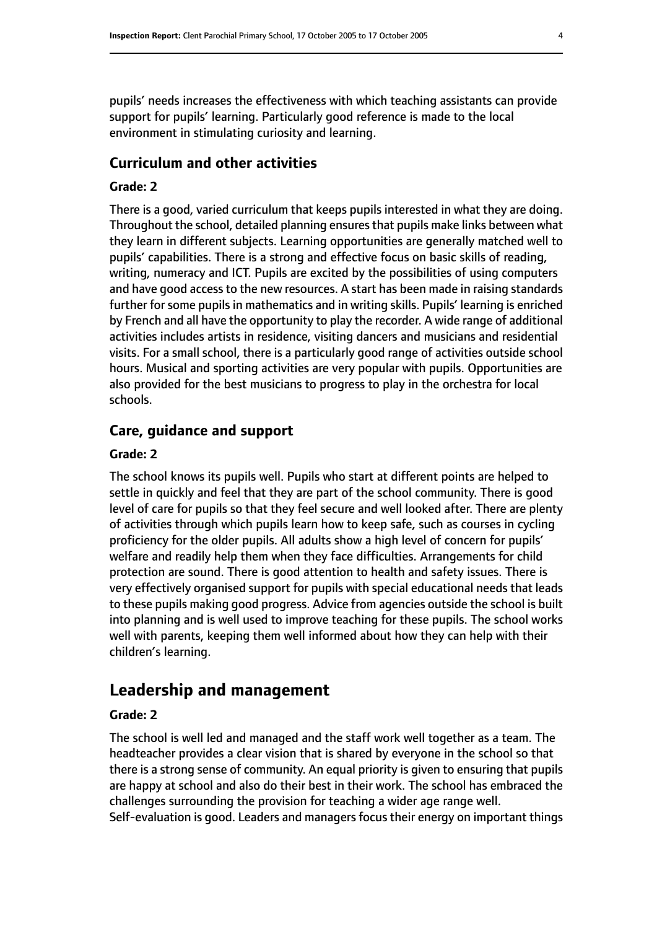pupils' needs increases the effectiveness with which teaching assistants can provide support for pupils' learning. Particularly good reference is made to the local environment in stimulating curiosity and learning.

## **Curriculum and other activities**

## **Grade: 2**

There is a good, varied curriculum that keeps pupils interested in what they are doing. Throughout the school, detailed planning ensuresthat pupils make links between what they learn in different subjects. Learning opportunities are generally matched well to pupils' capabilities. There is a strong and effective focus on basic skills of reading, writing, numeracy and ICT. Pupils are excited by the possibilities of using computers and have good access to the new resources. A start has been made in raising standards further for some pupils in mathematics and in writing skills. Pupils' learning is enriched by French and all have the opportunity to play the recorder. A wide range of additional activities includes artists in residence, visiting dancers and musicians and residential visits. For a small school, there is a particularly good range of activities outside school hours. Musical and sporting activities are very popular with pupils. Opportunities are also provided for the best musicians to progress to play in the orchestra for local schools.

## **Care, guidance and support**

#### **Grade: 2**

The school knows its pupils well. Pupils who start at different points are helped to settle in quickly and feel that they are part of the school community. There is good level of care for pupils so that they feel secure and well looked after. There are plenty of activities through which pupils learn how to keep safe, such as courses in cycling proficiency for the older pupils. All adults show a high level of concern for pupils' welfare and readily help them when they face difficulties. Arrangements for child protection are sound. There is good attention to health and safety issues. There is very effectively organised support for pupils with special educational needs that leads to these pupils making good progress. Advice from agencies outside the school is built into planning and is well used to improve teaching for these pupils. The school works well with parents, keeping them well informed about how they can help with their children's learning.

# **Leadership and management**

#### **Grade: 2**

The school is well led and managed and the staff work well together as a team. The headteacher provides a clear vision that is shared by everyone in the school so that there is a strong sense of community. An equal priority is given to ensuring that pupils are happy at school and also do their best in their work. The school has embraced the challenges surrounding the provision for teaching a wider age range well. Self-evaluation is good. Leaders and managers focus their energy on important things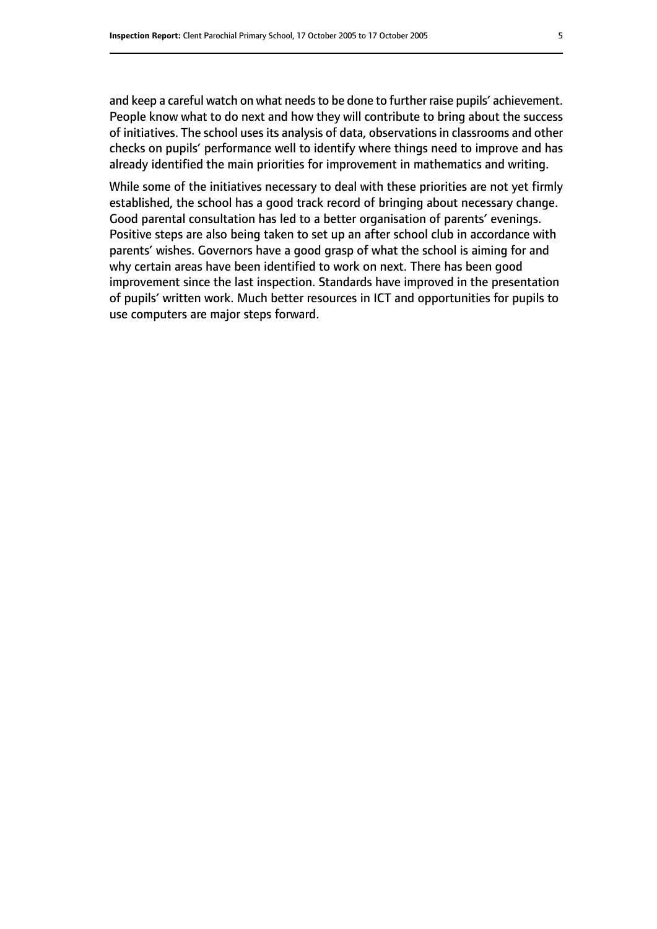and keep a careful watch on what needs to be done to further raise pupils' achievement. People know what to do next and how they will contribute to bring about the success of initiatives. The school uses its analysis of data, observations in classrooms and other checks on pupils' performance well to identify where things need to improve and has already identified the main priorities for improvement in mathematics and writing.

While some of the initiatives necessary to deal with these priorities are not yet firmly established, the school has a good track record of bringing about necessary change. Good parental consultation has led to a better organisation of parents' evenings. Positive steps are also being taken to set up an after school club in accordance with parents' wishes. Governors have a good grasp of what the school is aiming for and why certain areas have been identified to work on next. There has been good improvement since the last inspection. Standards have improved in the presentation of pupils' written work. Much better resources in ICT and opportunities for pupils to use computers are major steps forward.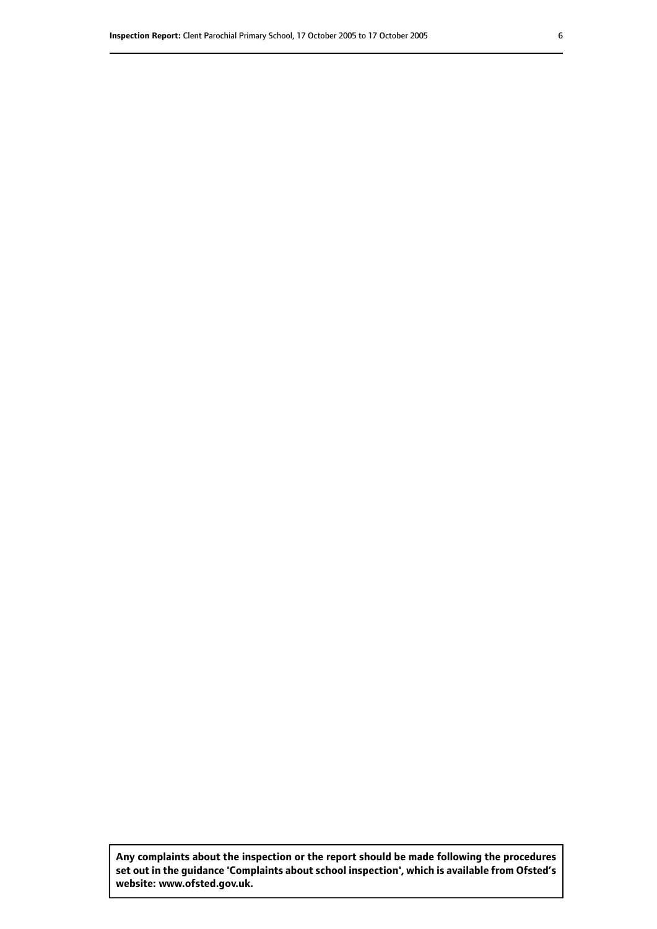**Any complaints about the inspection or the report should be made following the procedures set out inthe guidance 'Complaints about school inspection', whichis available from Ofsted's website: www.ofsted.gov.uk.**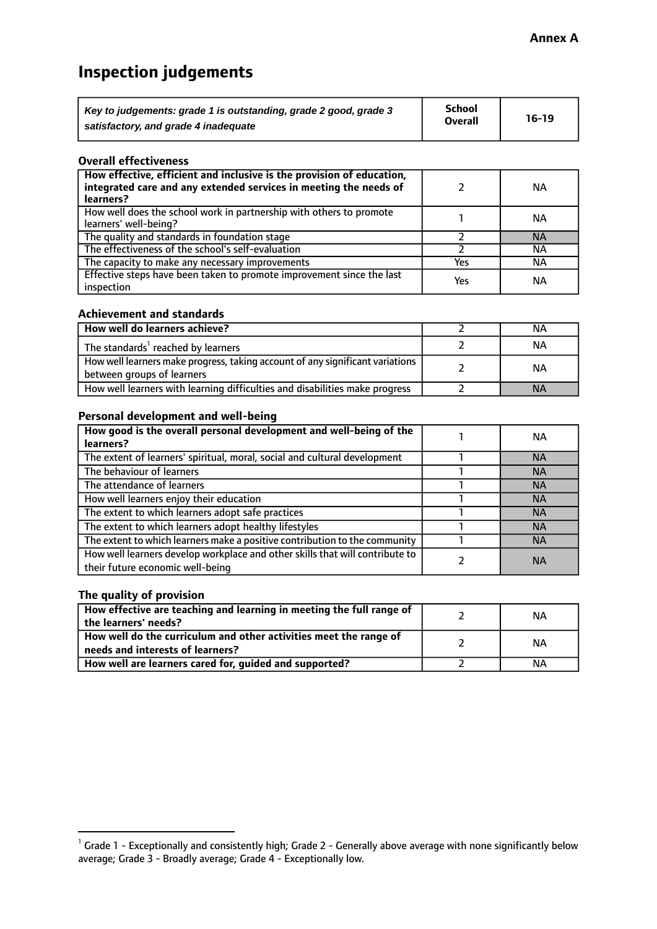# **Inspection judgements**

| Key to judgements: grade 1 is outstanding, grade 2 good, grade 3 | <b>School</b>  | $16-19$ |
|------------------------------------------------------------------|----------------|---------|
| satisfactory, and grade 4 inadequate                             | <b>Overall</b> |         |

#### **Overall effectiveness**

| How effective, efficient and inclusive is the provision of education,<br>integrated care and any extended services in meeting the needs of<br>learners? |     | NА        |
|---------------------------------------------------------------------------------------------------------------------------------------------------------|-----|-----------|
| How well does the school work in partnership with others to promote<br>learners' well-being?                                                            |     | NА        |
| The quality and standards in foundation stage                                                                                                           |     | <b>NA</b> |
| The effectiveness of the school's self-evaluation                                                                                                       |     | NА        |
| The capacity to make any necessary improvements                                                                                                         | Yes | NА        |
| Effective steps have been taken to promote improvement since the last<br>inspection                                                                     | Yes | <b>NA</b> |

#### **Achievement and standards**

| How well do learners achieve?                                                                               | ΝA        |
|-------------------------------------------------------------------------------------------------------------|-----------|
| The standards <sup>1</sup> reached by learners                                                              | NА        |
| How well learners make progress, taking account of any significant variations<br>between groups of learners | <b>NA</b> |
| How well learners with learning difficulties and disabilities make progress                                 | <b>NA</b> |

#### **Personal development and well-being**

| How good is the overall personal development and well-being of the<br>learners?                                  | ΝA        |
|------------------------------------------------------------------------------------------------------------------|-----------|
|                                                                                                                  |           |
| The extent of learners' spiritual, moral, social and cultural development                                        | <b>NA</b> |
| The behaviour of learners                                                                                        | <b>NA</b> |
| The attendance of learners                                                                                       | <b>NA</b> |
| How well learners enjoy their education                                                                          | <b>NA</b> |
| The extent to which learners adopt safe practices                                                                | <b>NA</b> |
| The extent to which learners adopt healthy lifestyles                                                            | <b>NA</b> |
| The extent to which learners make a positive contribution to the community                                       | <b>NA</b> |
| How well learners develop workplace and other skills that will contribute to<br>their future economic well-being | <b>NA</b> |

# **The quality of provision**

| How effective are teaching and learning in meeting the full range of<br>the learners' needs?          | ΝA |
|-------------------------------------------------------------------------------------------------------|----|
| How well do the curriculum and other activities meet the range of<br>needs and interests of learners? | ΝA |
| How well are learners cared for, guided and supported?                                                | NА |

 $^1$  Grade 1 - Exceptionally and consistently high; Grade 2 - Generally above average with none significantly below average; Grade 3 - Broadly average; Grade 4 - Exceptionally low.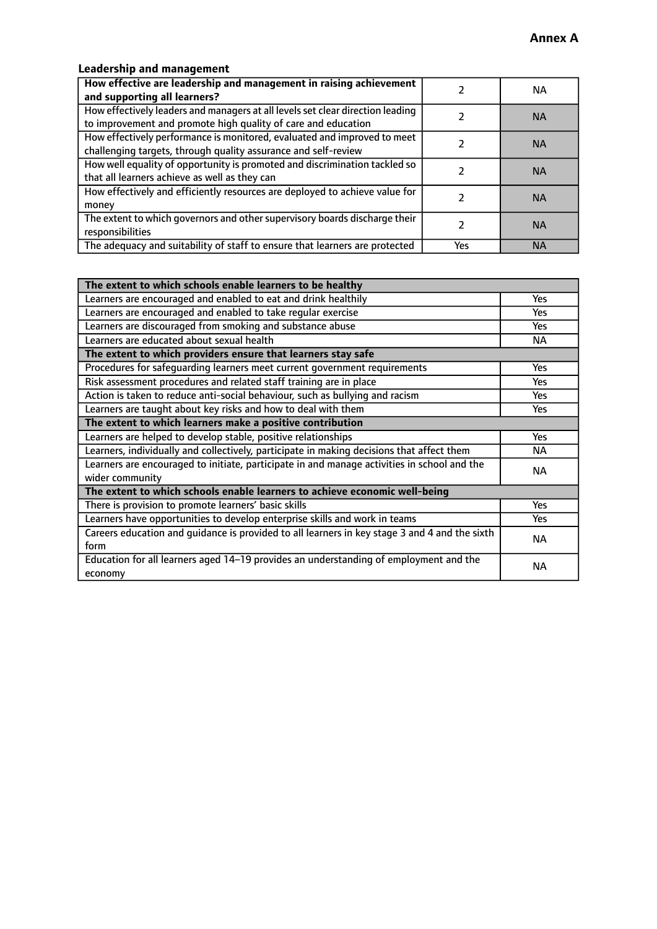# **Leadership and management**

| How effective are leadership and management in raising achievement<br>and supporting all learners?                                              |     | NA.       |
|-------------------------------------------------------------------------------------------------------------------------------------------------|-----|-----------|
| How effectively leaders and managers at all levels set clear direction leading<br>to improvement and promote high quality of care and education |     | <b>NA</b> |
| How effectively performance is monitored, evaluated and improved to meet<br>challenging targets, through quality assurance and self-review      |     | <b>NA</b> |
| How well equality of opportunity is promoted and discrimination tackled so<br>that all learners achieve as well as they can                     |     | <b>NA</b> |
| How effectively and efficiently resources are deployed to achieve value for<br>money                                                            |     | <b>NA</b> |
| The extent to which governors and other supervisory boards discharge their<br>responsibilities                                                  |     | <b>NA</b> |
| The adequacy and suitability of staff to ensure that learners are protected                                                                     | Yes | <b>NA</b> |

| The extent to which schools enable learners to be healthy                                     |            |
|-----------------------------------------------------------------------------------------------|------------|
| Learners are encouraged and enabled to eat and drink healthily                                | Yes        |
| Learners are encouraged and enabled to take regular exercise                                  | <b>Yes</b> |
| Learners are discouraged from smoking and substance abuse                                     | Yes        |
| Learners are educated about sexual health                                                     | NA.        |
| The extent to which providers ensure that learners stay safe                                  |            |
| Procedures for safequarding learners meet current government requirements                     | Yes        |
| Risk assessment procedures and related staff training are in place                            | Yes        |
| Action is taken to reduce anti-social behaviour, such as bullying and racism                  | <b>Yes</b> |
| Learners are taught about key risks and how to deal with them                                 | Yes        |
| The extent to which learners make a positive contribution                                     |            |
| Learners are helped to develop stable, positive relationships                                 | Yes        |
| Learners, individually and collectively, participate in making decisions that affect them     | NA.        |
| Learners are encouraged to initiate, participate in and manage activities in school and the   | <b>NA</b>  |
| wider community                                                                               |            |
| The extent to which schools enable learners to achieve economic well-being                    |            |
| There is provision to promote learners' basic skills                                          | Yes        |
| Learners have opportunities to develop enterprise skills and work in teams                    | Yes        |
| Careers education and quidance is provided to all learners in key stage 3 and 4 and the sixth | <b>NA</b>  |
| form                                                                                          |            |
| Education for all learners aged 14-19 provides an understanding of employment and the         | <b>NA</b>  |
| economy                                                                                       |            |